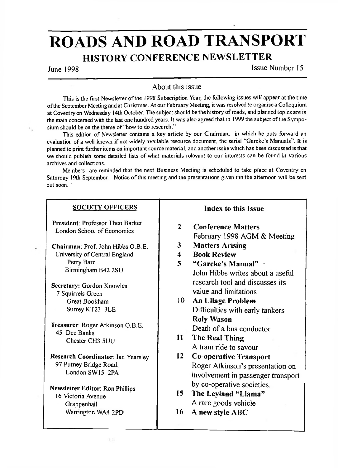# ROADS AND ROAD TRANSPORT HISTORY CONFERENCE NEWSLETTER

June 1998 **Issue Number 15** 

### About this issue

This is the first Newsletter of the 1998 Subscription Year, the following issues will appear at the time ofthe September Meeting and at Christmas. At our February Meeting, it was resolved to organise a Colloquium at Coventry on Wednesday I4th October. The subject should be the history ofroads, and planned topics are in the main concerned with the last one hundred years. It was also agreed that in 1999 the subject of the Symposium should be on the theme of "how to do research."

This edition of Newsletter contains a key article by our Chairman, in which he puts forward an evaluation of a well known if not widely available resource document, the serial "Garcke's Manuals". It is planned to print further items on important source material, and another issue which has been discussed is that we should publish some detailed lists of what materials relevant to our interests can be found in various archives and collections.

Members are reminded that the next Business Meeting is scheduled to take place at Coventry on Saturday 19th September. Notice of this meeting and the presentations given inn the afternoon will be sent out soon.

| <b>SOCIETY OFFICERS</b>                                                                |                                   | Index to this Issue                                                                                     |
|----------------------------------------------------------------------------------------|-----------------------------------|---------------------------------------------------------------------------------------------------------|
| President: Professor Theo Barker<br>London School of Economics                         | $\mathbf{2}$                      | <b>Conference Matters</b><br>February 1998 AGM & Meeting                                                |
| Chairman: Prof. John Hibbs O.B.E.<br>University of Central England<br>Perry Barr       | 3<br>$\overline{\mathbf{4}}$<br>5 | <b>Matters Arising</b><br><b>Book Review</b><br>"Garcke's Manual"                                       |
| Birmingham B42 2SU<br>Secretary: Gordon Knowles                                        |                                   | John Hibbs writes about a useful<br>research tool and discusses its                                     |
| 7 Squirrels Green<br>Great Bookham                                                     | $10-1$                            | value and limitations<br><b>An Ullage Problem</b>                                                       |
| Surrey KT23 3LE                                                                        |                                   | Difficulties with early tankers<br><b>Roly Wason</b>                                                    |
| Treasurer: Roger Atkinson O.B.E.<br>45 Dee Banks<br>Chester CH3 5UU                    | 11 -                              | Death of a bus conductor<br>The Real Thing<br>A train ride to savour                                    |
| <b>Research Coordinator: Ian Yearsley</b><br>97 Putney Bridge Road,<br>London SW15 2PA | 12                                | <b>Co-operative Transport</b><br>Roger Atkinson's presentation on<br>involvement in passenger transport |
| Newsletter Editor: Ron Phillips<br>16 Victoria Avenue<br>Grappenhall                   | $15-15$                           | by co-operative societies.<br>The Leyland "Llama"<br>A rare goods vehicle                               |
| Warrington WA4 2PD                                                                     | 16                                | A new style ABC                                                                                         |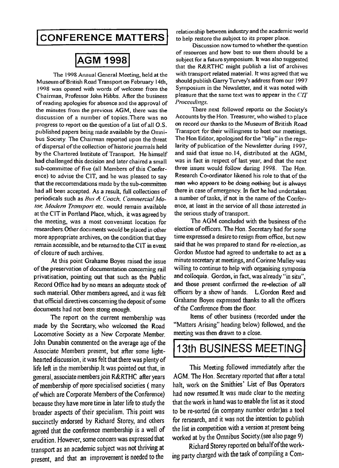## **CONFERENCE MATTERS**

Chairman, Professor John Hibbs. After the business pleasure that CIT<br>of reading apologies for absence and the approval of *Proceedings*. of reading apologies for absence and the approval of *Proceedings.*<br>the minutes from the previous AGM there was the **There next followed reports on the Society's** published papers being made available by the Omni-<br>bus Society. The Chairman reported upon the threat<br>The Hon Editor, apologised for the "blip" in the regubus Society. The Chairman reported upon the threat of dispersal of the collection of historic journals held larity of publication of the Newsletter during 1997, by the Chartered Institute of Transport. He himself and said that issue no.14, distributed at the AGM, by the Chartered Institute of Transport. He himself and said that issue no. 14, distributed at the AGM, had challenged this decision and later chaired a small was in fact in respect of last year, and that the next had challenged this decision and later chaired a small was in fact in respect of last year, and that the next sub-committee of five (all Members of this Confer-<br>three issues would follow during 1998. The Hon, sub-committee of five (all Members of this Confer-<br>ence) to advise the CIT, and he was pleased to say. Research Co-ordinator likened his role to that of the ence) to advise the CIT, and he was pleased to say Research Co-ordinator likened his role to that of the that of the that the reccomendations made by the sub-committee man who appears to be doing nothing but is always that the reccomendations made by the sub-committee had all been accepted. As a result, full collections of periodicals such as *Bus* & *Coach*. *Commercial Mo*- a number of tasks, if not in the name of the Confer-<br>*Ior, Modern Transport* etc. would remain available ence, at least in the service of all those interested in *tor. Modern Transport* etc. would remain available at the CIT in Portland Place, which, it was agreed by the serious study of transport. the meeting, was a most convenient location for researchers. Other documents would be placed in other election of officers. The Hon. Secretary had for some more appropriate archives, on the condition that they time expressed a desire to resign from office, but now remain accessible, and be returned to the CIT in event said that he was prepared to stand for re-election, as of closure of such archives.

of the preservation of documentation concerning rail willing to continue to help with organising symposia<br>privatisation, pointing out that such as the Public and colloquia. Gordon, in fact, was already "in situ", privatisation, pointing out that such as the Public Record Office had by no means an adequate stock of and those present confirmed the re-election of all such material. Other members agreed, and it was felt officers by a show of hands. L.Gordon Reed and that official directives concerning the deposit of some Grahame Boyes expressed thanks to all the officers documents had not been stong enough.

The report on the current membership was made by the Secretary, who welcomed the Road Locomotive Society as a New Corporate Member, meeting was then drawn to a close. John Dunabin commented on the average age of the Associate Members present, but after some lighthearted discussion, it was felt that there was plenty of life left in the membership.lt was pointed out that, in because they have more time in later life to study the broader aspects of their specialism. This point was succinctly endorsed by Richard Storey, and others agreed that the conference membership is a well of the list in competition with a version at present being<br>erudition. However some concern was expressed that worked at by the Omnibus Society (see also page 9) erudition. However, some concern was expressed that worked at by the Omnibus Society.(see also page 9)<br>transport as an academic subject was not thriving at Richard Storey reported on behalf of the worktransport as an academic subject was not thriving at present, and that an improvement is needed to the ing party charged with the task of compiling a Com-

relationship between industry and the academic world<br>to help restore the subject to its proper place.

Discussion now turned to whether the question of resources and how best to use them should be a<br>AGM 1998 subject for a future symposium. It was also suggested subject for a future symposium. It was also suggested that the R&RTHC might publish a list of archives The 1998 Annual General Meeting, held at the with transport related material. It was agreed that we<br>up of British Road Transport on February 14th. should publish Garry Turvey's address from our 1997 Museum ofBritish Road Transport on February **14th,** should publish Garry Turvey's address from our 1997 1998 was opened with words of welcome from the Symposium in the Newsletter, and it was noted with 1998 left was noted with  $CIT$ 

the minutes from the previous AGM, there was the There next followed reports on the Society's<br>discussion of a number of topics. There was no Accounts by the Hon. Treasurer, who wished to place discussion of a number of topics.There was no **Accounts bythe Hon.** Treasurer, **whowished**to place progress to report on the question of a list of all O.S. on record our thanks to the Museum of British Road<br>published papers being made available by the Omni-<br>Transport for their willingness to host our meetings. there in case of emergency. In fact he had undertaken

Gordon Mustoe had agreed to undertake to act as a At this point **Grahame** Boyes raised the issue minute secretary at meetings, and Corinne Mulley was The AGM concluded with the business of the of the Conference from the floor.

> Items of other business (recorded under the "Matters Arising" heading below) followed, and the

## 13th BUSINESS MEETING

general, associate members join R&RTHC after years AGM. The Hon. Secretary reported that after a total of membership of more specialised societies ( many halt, work on the Smithies' List of Bus Operators of which are Corporate Members of the Conference) had now resumed. It was made clear to the meeting<br>hecause they have more time in later life to study the that the work in hand was to enable the list as it stood to be re-sorted (in company number order)as a tool for rersearch, and it was not the intention to publish<br>the list in competition with a version at present being This Meeting followed immediately after the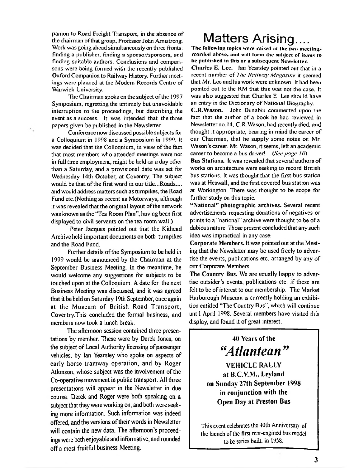panion to Road Freight Transport, in the absence of the chairman of that group, Professor John Armstrong. Work was going ahead simultaneously on three fronts: finding a publisher, finding a sponsor/sponsors, and finding suitable authors. Conclusions and comparisons were being formed with the recently published Oxford Companion to Railway History. Further meetings were planned at the Modem Records Centre of Warwick University.

The Chairman spoke on the subject of the 1997 Symposium, regretting the untimely but unavoidable interruption to the proceedings, but describing the event as a success. It was intended that the three papers given be published in the Newsletter

٠.

Conference now discussed possible subjects for a Colloquium in 1998 and a Symposium in 1999. It was decided that the Colloquium, in view of the fact that most members who attended meetings were not in full time employment, might be held on a day other than a Saturday, and a provisional date was set for Wednesday 14th October, at Coventry. The subject would be that of the first word in our title...Roads.... and would address matters such asturnpikes, the Road Fund etc.(Nothing as recent as Motorways, although it was revealed that the original layout of the network was known as the 'Tea Room Plan", having been first displayed to civil servants on the tea room wall.)

Peter Jacques pointed out that the Kithead Archive held important documents on both turnpikes and the Road Fund.

Further details of the Symposium to be held in 1999 would be announced by the Chairman at tine September Business Meeting. In the meantime, he would welcome any suggestions for subjects to be touched upon at the Colloquium. A date for the next Business Meeting was discussed, and it was agreed that it be held on Saturday 19th September, once again at the Museum of British Road Transport, Coventry.This concluded the formal business, and members now took a lunch break.

The afternoon session contained three presentations by member. These were by Derek Jones, on the subject of Local Authority licensing of passenger vehicles, by Ian Yearsley who spoke on aspects of early horse tramway operation, and by Roger Atkinson, whose subject was the involvement of the Co-operative movement in public transport. All three presentations will appear in the Newsletter in due course. Derek and Roger were both speaking on a subject that theywere working on, and both were seeking more information. Such information was indeed offered, and the versions of their words in Newsletter will contain the new data. The afternoon's proceedings were both enjoyable and informative, and rounded off a most fruitful business Meeting.

# Matters Arising....

The following topics were raised at the two meetings rcorded above, and will form the subject of items to be published in this or a subsequent Newsletter.

Charles E. Lee. Ian Yearsley pointed out that in a recent number of *The Railway Magazine* it seemed that Mr. Lee and his work were unknown. It had been pointed out to the RM that this was not the case. It was also suggested that Charles E. Lee should have an entry in the Dictionary of National Biography

C.R.Wason. John Dunabin commented upon the fact that the author of a book he had reviewed in Newsletter no. 14, C.R.Wason, had recently died, and thought it appropriate, bearing in mind the career of our Chairman, that he supply some notes on Mr. Wason's career. Mr. Wason, it seems, left an academic career to become a bus driver! *(See page 10)*

Bus Stations. It was revealed that several airthors of works on architecture were seeking to record British bus stations. It was thought that the first bus station was at Heswall, and the first covered bus station was at Workington. There was thought to be scope for further study on this topic.

"National" photographic archives. Several recent advertisements requesting donations of negatives or prints to a "national" archive were thought to be of a dubious nature. Those present concluded that any such idea was impractical in any case.

Corporate Members. It was pointed out at the Meeting that the Newsletter may be used freely to advertise the events, publications etc. arranged by any of our Corporate Members.

The Country Bus. We are equally happy to advertise outsider's events, publications etc. if these are felt to be of interest to our membership. The Market Harborough Museum is currently holding an exhibition entitled "The Country Bus", which will continue until April 1998. Several members have visited this display, and found it of great interest.

> **40 Years of the** *"Atlantean "* **VEHICLE RALLY at B.C.V.M., Leyland on Sunday 27th September 1998**

**in conjunction with the Open Day at Preston Bus**

This cvcnl celebrates **Ihc** 40th Anniversary of the launch of the first rear-engined bus model to be series built, in 1958.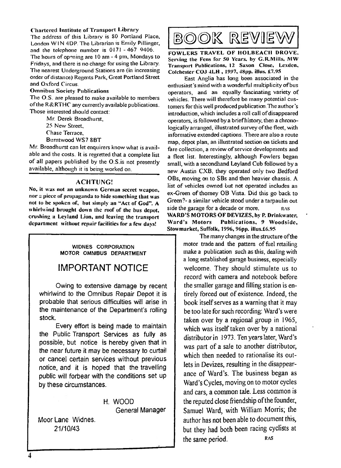### Chartered Institute of Transport Library

The address of this Library is SO Portland Place, London WIN 4DP. The Librarian is Emily Pillinger, and the telephone number is 0171 -467 9406.

The hours of opening are <sup>10</sup> am - 4 pm, Mondays to Fridays, and there is no charge for using the Library. The nearest Underground Stations are (in increasing order of distance) Regents Park, Great Portland Street and Oxford Circus.

### Omnibus Society Publications

The O.S. are pleased to make available to members ofthe R&RTHC any currently available publications. Those interested should contact:

Mr. Derek Broadhurst,

25 New Street

Chase Terrace,

Bumtwood WS7 8BT

Mr. Broadhurst can let enquirers know what is available and the costs. It is regretted that a complete list of all papers published by the O.S.is not presently available, although it is being worked on.

### ACHTUNG!

No, **it** was not an unknown German secret weapon, nor a piece of **propaganda** to hide something that was not to be spoken of, but simply an "Act of God". A whirlwind brought down the roof of the bus depot, crushing a Leyland **Lion,** and leaving the transport department without repair facilities for a few days!

> W1DNES CORPORATION MOTOR OMNIBUS DEPARTMENT

## IMPORTANT NOTICE

Owing to extensive damage by recent whirlwind to the Omnibus Repair Depot it is probable that serious difficulties will arise in the maintenance of the Department's rolling stock.

Every effort is being made to maintain the Public Transport Services as fully as possible, but notice is hereby given that in the near future it may be necessary to curtail or cancel certain services without previous notice, and it is hoped that the travelling public will forbear with the conditions set up by these circumstances.

> H. WOOD General Manager

Moor Lane Widnes. 21/10/43

# book reviev

FOWLERS TRAVEL OF HOLBEACI1 DROVE, Serving the Fens for 50 Years, by G.R.Mills, MW Transport Publications, 12 Saxon Close, Lexdcn, Colchester C03 4JLH , 1997, 48pp. illus. £7.95

East Anglia has long been associated in the enthusiast's mind with a wonderful multiplicity of bus operators, and an equally fascinating variety of vehicles. There will therefore be many potential customers forthis well produced publication.The author's introduction, which includes a roll call of disappeared operators, is followed by a briefhistory, then a chronologically arranged, illustrated survey of the fleet, with informative extended captions. There are also a route map, depot plan, an illustrated section on tickets and fare collection, a review of service developments and a fleet list. Interestingly, although Fowlers began small, with a secondhand Leyland Cub followed by a new Austin CXB, they operated only two Bedford OBs, moving on to SBs and then heavier chassis. A list of vehicles owned but not operated includes an ex-Green of thomey OB Vista. Did this go back to Green?- a similar vehicle stood under a tarpaulin out side the garage for a decade or more. WARD'S MOTORS OF DEVIZES, by P. Drinkwater,<br>Ward's Motors Publications, 9 Woodside. RAS

Stowmarket, Suffolk, 1996, 96pp. illus.£6.95<br>
The many changes in the structure of the motor trade and the pattern of fuel retailing make a publication such as this, dealing with a long established garage business, especially welcome. They should stimulate us to record with camera and notebook before the smaller garage and filling station is entirely forced out of existence. Indeed, the book itself serves as a warning that it may be too late for such recording: Ward's were taken over by a regional group in 1965, which was itself taken over by a national distributor in 1973. Ten years later, Ward's was part of a sale to another distributor, which then needed to rationalise its outlets in Devizes, resulting in the disappearance of Ward's. The business began as Ward's Cycles, moving on to motor cycles and cars, a common tale. Less common is the reputed close friendship of the founder, Samuel Ward, with William Morris; the author has not been able to document this, but they had both been racing cyclists at the same period. RAS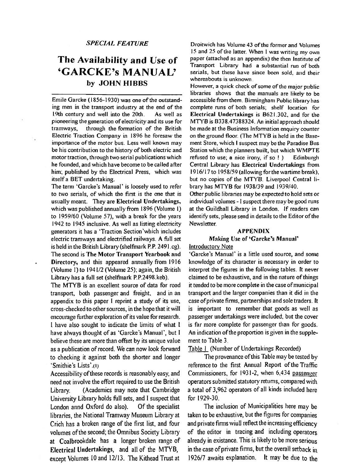## The Availability and Use of 'GARCKE's MANUAL' **by JOHN HIBBS**

Emile Garcke (1856-1930) was one of the outstanding men in the transport industry at the end of the 19th century and well into the 20th. As well as 19th century and well into the 20th. pioneering the generation of electricity and its use for<br>tramways. through the formation of the British through the formation of the British Electric Traction Company in 1896 he foresaw the importance of the motor bus. Less well known may be his contribution to the history of both electric and motor traction, through two serial publications which he founded, and which have become to be called after **him;** published by the Electrical Press, which was itself a BET undertaking.

The term 'Garcke's Manual' is loosely used to refer to two serials, of which the first is the one that is usually meant. They are **Electrical Undertakings,** which was published annually from 1896 (Volume 1) to 1959/60 (Volume 57), with a break for the years 1942 to 1945 inclusive. As well as listing electricity generators it has a 'Traction Section'which includes electric tramways and electrified railways. A full set is held in the British Library (shelfmark P.P. 249 l.cg). The second is **The Motor Transport Yearbook and Directory,** and this appeared annually from 1916

(Volume I) to 1941/2 (Volume 25); again, the British Library has a foil set (shelfmark P.P.2498.keb).

The MTYB is an excellent source of data for road transport, both passenger and freight, and in an appendix to this paper <sup>I</sup> reprint a study of its use, cross-checked to other sources, in the hope that it will encourage further exploration of its value for research. I have also sought to indicate the **limits** of what **l** have always thought of as 'Garcke's Manual', but <sup>I</sup> believe these are more than offset by its unique value as a publication of record. We can now look forward to checking it against both the shorter and longer 'Smithie's Lists'.(1)

Accessibility of these records is reasonably easy, and need not involve the effort required to use the British Library. (Academics may note that Cambridge University Library holds full sets, and <sup>I</sup> suspect that London annd Oxford do also). Of the specialist libraries, the National Tramway Museum Library at Crich has a broken range of the first list, and four volumes of the second; the Omnibus Society Library at Coalbrookdale has **a** longer broken range of **Electrical Undertakings,** and all of the MTYB, except Volumes 10 and 12/13. The Kithead Trust at

*SPECIAL FEATURE* **Droitwich** has Volume 43 ofthe former and Volumes 15 and 25 of the latter. When I was writing my own paper (attached as an appendix) the then Institute of Transport Library had a substantial run of both serials, but these have since been sold, and their whereabouts is unknown

> However, a quick check of some of the major public libraries shows that the manuals are likely to be accessible from them. Birmingham Public library has complete runs of both serials; shelf location for **Electrical Undertakings** is B62I.302, and for the MTYB is B338.47388324. An initial approach should be made at the Business Information enquiry counter on the ground floor. (The MTYB is held in the Basement Store, which <sup>I</sup> suspect may be the Paradise Bus Station which the planners built, but which WMPTE refused to use; a nice irony, if so ! ) Edinburgh Central Library has **Electrical Undertakings** from 1916/17 to 1958/59 (allowing forthe wartime break), but no copies of the MTYB. Liverpool Central library has MTYB for 1938/39 and 1939/40.

> Other public libraries may be expected to hold sets or individual volumes - I suspect there may be good runs at the Guildhall Library in London. If readers can identify sets, please send in details to the Editor of the **Newsletter**

### **APPENDIX**

**Making Use of 'Garcke's Manual'** Introductory Note

'Garcke's Manual' is a little used source, and some knowledge of its character is necessary in order to interpret the figures in the following tables. Tt never claimed to be exhaustive, and in the nature of things it tended to be more complete in the case of municipal transport and the larger companies than it did in the case of private firms, partnerships and sole traders. It is important to remember that goods as well as passenger undertakings were included, but the cover is far more complete for passenger **than** for goods. An indication of the proportion is given in the supplement to Table 3.

Table <sup>1</sup> (Number of Undertakings Recorded)

The provenance ofthis Table may be tested by reference to the first Annual Report of the Traffic Commissioners, for 1931-2, when 6,434 passenger operators submitted statutory returns, compared with a total of 3,962 operators of all kinds included here for 1929-30.

The inclusion of Municipalities here may be taken to be exhaustive, but the figures for companies and private firms wiull reflect the **increasing** efficiency of the editor in tracing and **including** operators already in existance. This is likely to be more serious in the case of private firms, but the overall setback in 1926/7 awaits explanation. **It may** be due to **the**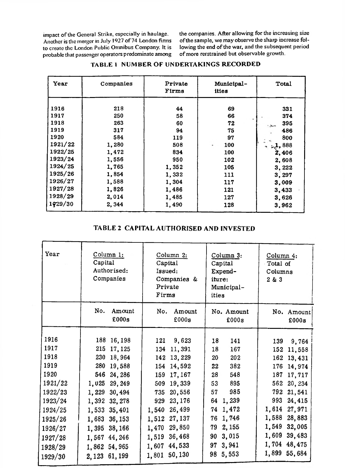to create the London Public Onmibus Company. It is lowing the end of the war, and the subseque<br>probable that passenger operators predominate among of more rerstrained but observable growth. probable that passenger operators predominate among

impact of the General Strike, especially in haulage. the companies. After allowing for the increasing size<br>Another is the merger in July 1927 of 74 London firms of the sample, we may observe the sharp increase fol-Another is the merger in July 1927 of 74 London firms of the sample, we may observe the sharp increase folto create the London Public Onmibus Company. It is lowing the end of the war, and the subsequent period

| Year    | Companies | Private<br>Firms | Municipal-<br>ities | Total        |
|---------|-----------|------------------|---------------------|--------------|
| 1916    | 218       | 44               | 69                  | 331          |
| 1917    | 250       | 58               | 66                  | 374          |
|         |           |                  |                     |              |
| 1918    | 263       | 60               | 72                  | 395<br>ستعرز |
| 1919    | 317       | 94               | 75                  | 486          |
| 1920    | 584       | 119              | 97                  | 800          |
| 1921/22 | 1,280     | 508              | 100<br>٠            | $-1,888$     |
| 1922/25 | 1,472     | 834              | 100                 | 2,406        |
| 1923/24 | 1,556     | 950              | 102                 | 2,608        |
| 1924/25 | 1,765     | 1,352            | 105                 | 3,222        |
| 1925/26 | 1,854     | 1,332            | 111                 | 3,297        |
| 1926/27 | 1,588     | 1,304            | 117                 | 3,009        |
| 1927/28 | 1,826     | 1,486            | 121                 | 3,433        |
| 1928/29 | 2,014     | 1,485            | 127                 | 3,626        |
| 1929/30 | 2,344     | 1,490            | 128                 | 3,962        |

### **TABLE <sup>1</sup> NUMBER OF UNDERTAKINGS RECORDED**

### **TABLE 2 CAPITAL AUTHORISED AND INVESTED**

| Year                                                                                                                         | Column 1:<br>Capital<br>Authorised:<br>Companies                                                                                                                                                                                    | Column 2:<br>Capital<br>Issued:<br>Companies &<br>Private<br>Firms                                                                                                                                                                                      | Column 3:<br>Capital<br>Expend-<br>iture:<br>Municipal-<br>ities                                                                                                                              | Column 4:<br>Total of<br>Columns<br>2 & 3                                                                                                                                                                                                       |  |
|------------------------------------------------------------------------------------------------------------------------------|-------------------------------------------------------------------------------------------------------------------------------------------------------------------------------------------------------------------------------------|---------------------------------------------------------------------------------------------------------------------------------------------------------------------------------------------------------------------------------------------------------|-----------------------------------------------------------------------------------------------------------------------------------------------------------------------------------------------|-------------------------------------------------------------------------------------------------------------------------------------------------------------------------------------------------------------------------------------------------|--|
|                                                                                                                              | No.<br>Amount<br>£000s                                                                                                                                                                                                              | No.<br>Amount<br>£000s                                                                                                                                                                                                                                  | No. Amount<br>£000s                                                                                                                                                                           | No. Amount<br>£000s                                                                                                                                                                                                                             |  |
| 1916<br>1917<br>1918<br>1919<br>1920<br>1921/22<br>1922/23<br>1923/24<br>1924/25<br>1925/26<br>1926/27<br>1927/28<br>1928/29 | 188<br>16, 198<br>215<br>17,125<br>230<br>18,964<br>280<br>19,588<br>546<br>24,286<br>1,025<br>29, 249<br>1,229<br>30,494<br>1,392 32,278<br>1,533<br>35,401<br>1,683<br>36, 153<br>1,395<br>38,166<br>1,567 44,246<br>1,862 54,965 | 9,623<br>121<br>11,391<br>134<br>13,229<br>142<br>14,592<br>154<br>17,167<br>159<br>19,339<br>509<br>20,556<br>735<br>23, 176<br>929<br>26,499<br>1,540<br>27, 137<br>1,512<br>29,850<br>1,470<br>36,468<br>1,519<br>44,533<br>1,607<br>50,130<br>1,801 | 18<br>141<br>167<br>18<br>202<br>20<br>382<br>22<br>548<br>28<br>895<br>53<br>985<br>57<br>1,239<br>64<br>74 1,472<br>1,746<br>76<br>2,155<br>79<br>3,015<br>90<br>3,941<br>97<br>5,553<br>98 | 139<br>9,764<br>152<br>11,558<br>162<br>13,431<br>176<br>14,974<br>187<br>17,717<br>20,234<br>562<br>792<br>21,541<br>993<br>24,415<br>1,614<br>27,971<br>28,883<br>1,588<br>32,005<br>1,549<br>1,609<br>39,483<br>1,704 48,475<br>1,899 55,684 |  |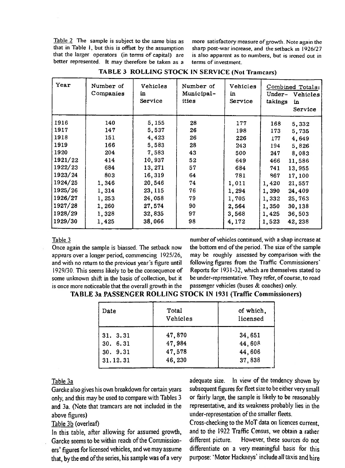Table 2 The sample is subject to the same bias as more satisfactory measure of growth. Note again the that in Table  $i$ , but this is offset by the assumption sharp post-war increase, and the setback in 1926/27 that the larger operators (in terms of capital) are better represented. It may therefore be taken as a

sharp post-war increase, and the setback in 1926/27 is also apparent as to numbers, but is ironed out in terms of investment.

| Year    | Number of<br>Companies | Vehicles<br>in<br>Service | Number of<br>Municipal-<br>ities | Vehicles<br>in<br>Service | Combined Totals:<br>Under-<br>Vehicles<br>takings<br>in<br>Service |
|---------|------------------------|---------------------------|----------------------------------|---------------------------|--------------------------------------------------------------------|
| 1916    | 140                    | 5,155                     | 28                               | 177                       | 168<br>5,332                                                       |
| 1917    | 147                    | 5,537                     | 26                               | 198                       | 173<br>5,735                                                       |
| 1918    | 151                    | 4,423                     | 26                               | 226                       | 4,649<br>177                                                       |
| 1919    | 166                    | 5,583                     | 28                               | 243                       | 5,826<br>194                                                       |
| 1920    | 204                    | 7,583                     | 43                               | 500                       | 8,083<br>247                                                       |
| 1921/22 | 414                    | 10,937                    | 52                               | 649                       | 466<br>11,586                                                      |
| 1922/23 | 684                    | 13,271                    | 57                               | 684                       | 741<br>13,955                                                      |
| 1923/24 | 803                    | 16,319                    | 64                               | 781                       | 867<br>17,100                                                      |
| 1924/25 | 1,346                  | 20,546                    | 74                               | 1,011                     | 1,420<br>21,557                                                    |
| 1925/26 | 1,314                  | 23, 115                   | 76                               | 1,294                     | 24,409<br>1,390                                                    |
| 1926/27 | 1,253                  | 24,058                    | 79                               | 1,705                     | 1,332<br>25,763                                                    |
| 1927/28 | 1,260                  | 27,574                    | 90                               | 2,564                     | 1,350<br>30,138                                                    |
| 1928/29 | 1,328                  | 32,835                    | 97                               | 3,568                     | 1,425<br>36,503                                                    |
| 1929/30 | 1,425                  | 38,066                    | 98                               | 4,172                     | 1,523<br>42,238                                                    |

|  | TABLE 3 ROLLING STOCK IN SERVICE (Not Tramcars) |  |  |  |  |  |
|--|-------------------------------------------------|--|--|--|--|--|
|--|-------------------------------------------------|--|--|--|--|--|

### Table 3

appears over a longer period, commencing 1925/26, and with no return to the previous year's figure until following figures from the Traffic Commissioners' 1929/30. This seems likely to be the consequence of Reports for 1931-32, which are themselves stated to some unknown shift in the basis of collection, but it be under-representative. They refer, of course, to road is once more noticeable that the overall growth in the passenger vehicles (buses  $\&$  coaches) only. is once more noticeable that the overall growth in the

number of vehicles continued, with a shap increase at Once again the sample is biassed. The setback now the bottom end of the period. The size of the sample appears over a longer period, commencing 1925/26, may be roughly assessed by comparison with the

### **TABLE 3a PASSENGER ROLLING STOCK IN 1931 (Traffic Commissioners)**

| Date     | Total<br>Vehicles | of which,<br>licensed |
|----------|-------------------|-----------------------|
| 31. 3.31 | 47,870            | 34,651                |
| 30.6.31  | 47,984            | 44,608                |
| 30.9.31  | 47,578            | 44,606                |
| 31.12.31 | 46,230            | 37,838                |

### Table 3a

only, and this may be used to compare with Tables 3 or fairly large, the sample is likely to be reasonably and 3a. (Note that tramcars are not included in the representative, and its weakness probably lies in the above figures)

### Table 3b (overleaf)

Garcke seems to be within reach of the Commission-<br>different picture. However, these sources do not ers' figures for licensed vehicles, and we may assume differentiate on a very meaningful basis for this that, by the end of the series, his sample was of a very purpose: 'Motor Hackneys' include all taxis and hire

adequate size. In view of the tendency shown by Garcke also gives his own breakdown for certain years subsequent figures for fleet size to be either very small under-representation of the smaller fleets.

Cross-checking to the MoT data on licences current. In this table, after allowing for assumed growth, and to the 1922 Traffic Census, we obtain a rather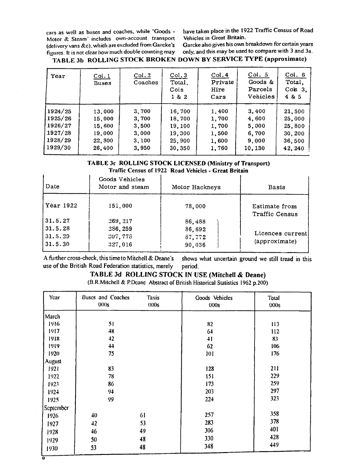Motor & Steam' includes own-account transport (delivery vans &c), which are excluded from Garcke's Garcke also gives his own breakdown for certain years<br>figures It is not clear how much double counting may only, and this may be used to compare with 3 and 3a. figures. It is not clear how much double counting may

o

cars as well as buses and coaches, while 'Goods - have taken place in the 1922 Traffic Census ofRoad Vehicles in Great Britain.

### **TABLE 3b ROLLING STOCK BROKEN DOWN BY SERVICE TYPE (approximate)**

| Year    | Col.1<br><b>Buses</b> | Col.2<br>Coaches | Col.3<br>Total,<br>Cols<br>1 & 2 | Col.4<br>Private<br>Hire<br>Cars | Col. 5<br>Goods &<br>Parcels<br>Vehicles | Col. 6<br>Total,<br>$C$ o $s$ 3.<br>4 & 5 |
|---------|-----------------------|------------------|----------------------------------|----------------------------------|------------------------------------------|-------------------------------------------|
| 1924/25 | 13,000                | 3,700            | 16,700                           | 1,400                            | 3,400                                    | 21,500                                    |
| 1925/26 | 15,000                | 3,700            | 18,700                           | 1,700                            | 4,600                                    | 25,000                                    |
| 1926/27 | 15,600                | 3,500            | 19,100                           | 1,700                            | 5,000                                    | 25,800                                    |
| 1927/28 | 19,000                | 3,000            | 19,300                           | 1,500                            | 6,700                                    | 30,200                                    |
| 1928/29 | 22,800                | 3,100            | 25,900                           | 1,600                            | 9,000                                    | 36,500                                    |
| 1929/30 | 26,400                | 3,950            | 30,350                           | 1,760                            | 10,130                                   | 42, 240                                   |

### **TABLE 3c ROLLING STOCK LICENSED (Ministry of Transport)** Traffic Census of 1922 **Road Vehicles** - **Great Britain**

| Date      | Goods Vehicles<br>Motor and steam | Motor Hackneys | Basis                                  |
|-----------|-----------------------------------|----------------|----------------------------------------|
| Year 1922 | 151,000                           | 78,000         | Estimate from<br><b>Traffic Census</b> |
| 31.5.27   | 269, 217                          | 86,488         |                                        |
| 31.5.28   | 286, 259                          | 86,692         |                                        |
| 31.5.29   | 007,778                           | 87,772         | Licences current                       |
| 31.5.30   | 327,016                           | 90,036         | (approximate)                          |

A further cross-check, thistime to Mitchell & Deane's shows what uncertain ground we still tread in this use of the British Road Federation statistics, merely period.

### **TABLE 3d ROLLING STOCK IN USE (Mitchell & Deane)**

(B.R.Mitchell & P.Dcane Abstract of British Historical Statistics 1962 p.200)

| Year      | <b>Buses and Coaches</b><br><b>Taxis</b><br>000s<br>000s |    | Goods Vehicles<br>000s | Total<br>000s |
|-----------|----------------------------------------------------------|----|------------------------|---------------|
| March     |                                                          |    |                        |               |
| 1916      | 51                                                       |    | 82                     | 113           |
| 1917      | 48                                                       |    | 64                     | 112           |
| 1918      | 42                                                       |    | 41                     | 83            |
| 1919      | 44                                                       |    | 62                     | 106           |
| 1920      | 75                                                       |    | 101                    | 176           |
| August    |                                                          |    |                        |               |
| 1921      | 83                                                       |    | 128                    | 211           |
| 1922      | 78                                                       |    | 151                    | 229           |
| 1923      | 86                                                       |    | 173                    | 259           |
| 1924      | 94                                                       |    | 203                    | 297           |
| 1925      | 99                                                       |    | 224                    | 323           |
| September |                                                          |    |                        |               |
| 1926      | 40                                                       | 61 | 257                    | 358           |
| 1927      | 42                                                       | 53 | 283                    | 378           |
| 1928      | 46                                                       | 49 | 306                    | 401           |
| 1929      | 50                                                       | 48 | 330                    | 428           |
| 1930      | 53                                                       | 48 | 348                    | 449           |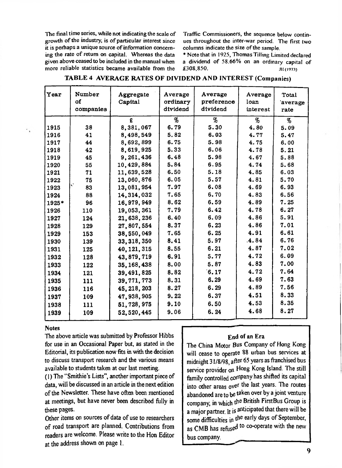The final time series, while not indicating the scale of Traffic Commissioners, the sequence below contin-<br>growth of the industry, is of particular interest since ues throughout the inter-war period. The first two growth of the industry, is of particular interest since ues throughout the inter-war period. The first two first two first two first two first two first two first two first two first two first two first two first two first it is perhaps a unique source of information concern-<br>ing the rate of return on capital. Whereas the data ing the rate of return on capital. Whereas the data \*Note that in 1925, Thomas Tilling Limited declared given above ceased to be included in the manual when a dividend of 58.66% on an ordinary capital of more reliable statistics became available from the

a dividend of 58.66% on an ordinary capital of  $£308.850$ . **JI! (1973)**

| Year  | Number<br>of<br>companies | Aggregate<br>Capital | Average<br>ordinary<br>dividend | Average<br>preference<br>dividend | Average<br>loan<br>interest | Total<br>'average<br>rate |
|-------|---------------------------|----------------------|---------------------------------|-----------------------------------|-----------------------------|---------------------------|
|       |                           | £                    | %                               | $\%$                              | $\%$                        | %                         |
| 1915  | 38                        | 8,381,067            | 6.79                            | 5.30                              | 4.80                        | 5.09                      |
| 1916  | 41                        | 8,498,549            | 5.82                            | 6.03                              | 4.77                        | 5.47                      |
| 1917  | 44                        | 8,692,899            | 6.75                            | 5.98                              | 4.75                        | 6.00                      |
| 1918  | 42                        | 8,619,925            | 5.33                            | 6.06                              | 4.78                        | 5.21                      |
| 1919  | 45                        | 9,261,436            | 6.48                            | 5.98                              | 4.67                        | 5.88                      |
| 1920  | 55                        | 10,429,884           | 5.84                            | 6.95                              | 4.74                        | 5.68                      |
| 1921  | 71                        | 11,639,528           | 6.50                            | 5.18                              | 4.85                        | 6.03                      |
| 1922  | 75                        | 13,060,876           | 6.05                            | 5.57                              | 4.81                        | 5.70                      |
| 1923  | 83                        | 13,081,954           | 7.97                            | 6.08                              | 4.69                        | 6.93                      |
| 1924  | 88                        | 14, 314, 032         | 7.65                            | 6.70                              | 4.83                        | 6.56                      |
| 1925* | 96                        | 16,979,949           | 8.62                            | 6.59                              | 4.89                        | 7.25                      |
| 1926  | 110                       | 19,053,361           | 7.79                            | 6.42                              | 4.78                        | 6.27                      |
| 1927  | 124                       | 21,638,236           | 6.40                            | 6.09                              | 4.86                        | 5.91                      |
| 1928  | 129                       | 27,807,554           | 8.37                            | 6.23                              | 4.86                        | 7.01                      |
| 1929  | 153                       | 38,550,049           | 7.65                            | 6.25                              | 4.91                        | 6.61                      |
| 1930  | 139                       | 33, 318, 350         | 8.41                            | 5.97                              | 4.84                        | 6.76                      |
| 1931  | 125                       | 40, 121, 315         | 8.55                            | 6.21                              | 4.87                        | 7.02                      |
| 1932  | 128                       | 43, 879, 719         | 6.91                            | 5.77                              | 4.72                        | 6.09                      |
| 1933  | 122                       | 35, 168, 438         | 8.00                            | 5.87                              | 4.83                        | 7.00                      |
| 1934  | 121                       | 39,491,825           | 8.82                            | 6.17                              | 4.72                        | 7.64                      |
| 1935  | 111                       | 39, 771, 773         | 8.31                            | 6.29                              | 4.69                        | 7.63                      |
| 1936  | 116                       | 45, 218, 203         | 8.27                            | 6.29                              | 4.89                        | 7.56                      |
| 1937  | 109                       | 47,938,905           | 9.22                            | 6.37                              | 4.51                        | 8.33                      |
| 1938  | 111                       | 51,728,975           | 9.10                            | 6.50                              | 4.53                        | 8.35                      |
| 1939  | 109                       | 52, 520, 445         | 9.06                            | 6.24                              | 4.68                        | 8.27                      |

### TABLE 4 AVERAGE RATES OF DIVIDEND AND INTEREST (Companies)

### **Notes**

The above article was submitted by Professor Hibbs for use in an Occasional Paper but, as stated in the Editorial, its publication now fits in with the decision to discuss transport research and the various means available to students taken at our last meeting.

(1) The "Smithie's Lists", another important piece of data, will be discussed in an article in the next edition of the Newsletter. These have often been mentioned at meetings, but have never been described fully in these pages.

Other items on sources of data of use to researchers of road transport are planned. Contributions from readers are welcome. Please write to the Hon Editor at the address shown on page 1.

### End of an Era

The China Motor Bus Company of Hong Kong will cease to operate 88 urban bus services at midnight 31/8/98, after 65 years as franchised bus service provider on Hong Kong Island. The still family controlled company has shifted its capital into other areas over the last years. The routes abandoned are to be taken over by a joint venture company, in which the British FirstBus Group is a major partner. It is anticipated that there will be some difficulties in the early days of September, as CMB has refused to co-operate with the new bus company.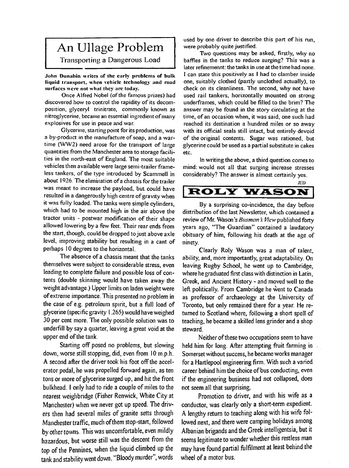# An Ullage Problem

Transporting a Dangerous Load

John Dunahin writes of the early problems of bulk liquid transport, when vehicle technology and road surfaces were not what they are today.

Once Alfred Nobel (of the famous prizes) had discovered how to control the rapidity of its decomposition, glyceryl trinitrate, commonly known as nitroglycerine, became an essential ingredient ofmany explosives for use in peace and war.

Glycerine, starting point for its production, was a by-product in the manufacture of soap, and a wartime (WW2) need arose for the transport of large quantities from the Manchester area to storage facilities in the north-east of England. The most suitable vehicles then available were large semi-trailer frameless tankers, of the type introduced by Scammell in about 1926. The elimination of a chassis for the trailer was meant to increase the payload, but could have resulted in a dangerously high centre of gravity when it was fully loaded. The tanks were simple cylinders, which had to be mounted high in the air above the tractor units - postwar modification of their shape allowed lowering by a few feet. Their rear ends from the start, though, could be dropped to just above axle level, improving stability but resulting in a cant of perhaps 10 degrees to the horizontal.

The absence of a chassis meant that the tanks themselves were subject to considerable stress, even leading to complete failure and possible loss of contents (double skinning would have taken away the weight advantage.) Upper limits on laden weight were ofextreme importance. This presented no problem in the case of e.g. petroleum spirit, but a full load of glycerine (specific gravity <sup>l</sup> .265) would have weighed 30 per cent more. The only possible solution was to underfill by say a quarter, leaving a great void at the upper end of the tank.

Starting off posed no problems, but slowing down, worse still stopping, did, even from 10 m.p.h. A second after the driver took his foot off the accelerator pedal, he was propelled forward again, as ten tons or more of glycerine surged up, and hit the front bulkhead. I only had to ride a couple of miles to the nearest weighbridge (Fisher Renwick, White City at Manchester) when we never got up speed. The drivers then had several miles of granite setts through Manchester traffic, much of them stop-start, followed by other towns. This was uncomfortable, even mildly hazardous, but worse still was the descent from the top of the Pennines, when the liquid climbed up the tank and stability went down. "Bloody murder", words

used by one driver to describe this part of his run, were probably quite justified.

Two questions may be asked, firstly, why no baffles in the tanks to reduce surging? This was a later refinemennt: the tanks in use at the time had none. <sup>1</sup> can state this positively as <sup>I</sup> had to clamber inside one, suitably clothed (partly unclothed actually), to check on its cleanliness. The second, why not have used rail tankers, horizontally mounted on strong underframes, which could be filled to the brim? The answer may be found in the story circulating at the time, of an occasion when, it was said, one such had reached its destination a hundred miles or so away with its official seals still intact, but entirely devoid of the original contents. Sugar was rationed, but glycerine could be used as a partial substitute in cakes etc.

In writing the above, a third question comes to mind: would not all that surging increase stresses considerably? The answer is almost certainly yes.

### JED **ROLY WASON**

By a surprising co-incidence, the day before distribution of the last Newsletter, which contained a review of Mr. Wason's *Busman's View* published forty years ago, "The Guardian" contained a laudatory obituary of him, following his death at the age of ninety.

Clearly Roly Wason was a man of talent, ability, and, more importantly, great adaptability. On leaving Rugby School, he went up to Cambridge, where he graduated first class with distinction in Latin, Greek, and Ancient History - and moved well to the left politically. From Cambridge he went to Canada as professor of archaeology at the University of Toronto, but only remained there for a year. He returned to Scotland where, following a short spell of teaching, he became a skilled lens grinder and a shop steward.

Neither of these two occupations seem to have held him for long. After attempting fruit farming in Somerset without success, he became works manager for a Hartlepool engineering firm. With such a varied career behind him the choice of bus conducting, even if the engineering business had not collapsed, does not seem all that surprising.

Promotion to driver, and with his wife as a conductor, was clearly only a short-term expedient. A lengthy return to teaching along with his wife followed next, and there were camping holidays among Albanian brigands and the Greek intelligentsia, but it seems legitimate to wonder whether this restless manmay have found partial fulfilment at least behind the wheel of a motor bus.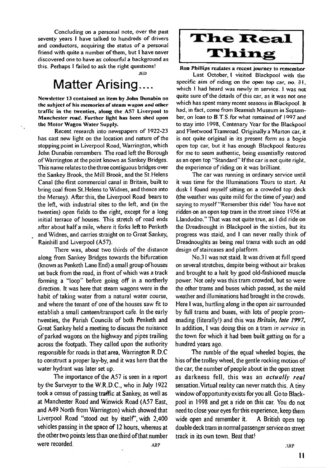Concluding on a personal note, over the past seventy years <sup>I</sup> have talked to hundreds of drivers and conductors, acquiring the status of a personal friend with quite a number of them, but I have never discovered one to have as colourful a background as this. Perhaps I failed to ask the right questions!

JED

# Matter Arising....

Newsletter 13 contained an item by John Dunabin on the subject of his memories of steam wagon and other traffic in the twenties, along the A57 Liverpool to Manchester road. Further light has been shed upon the Motor Wagon Water Supply.

٠.

Recent research into newspapers of 1922-23 has cast new light on the location and nature of the stopping point in Liverpool Road, Warrington, which John Dunabin remembers. The road left the Borough ofWarrington at the point known as Sankey Bridges. This name relates to the three contiguous bridges over die Sankey Brook, the Mill Brook, and the St.Helens Canal (the first commercial canal in Britain, built to bring coal from St.Helens to Widnes, and thence into the Mersey). After this, the Liverpool Road bears to the left, with industrial sites to die left, and (in die twenties) open fields to the right, except for a long initial terrace of houses. This stretch of road ends after about half a mile, where it forks left to Penketh and Widnes, and carries straight on to Great Sankey, Rainhill and Liverpool (A57).

There was, about two thirds of the distance along from Sankey Bridges towards the bifurcation (known as Penkedi Lane End) a small group ofhouses set back from the road, in front of which was a track forming a "loop" before going off in a northerly direction. It was here that steam wagons were in the habit of taking water from a natural water course, and where the tenant of one of the houses saw fit to establish a small canteen/transport cafe. In die early twenties, the Parish Councils of both Penketh and Great Sankey held a meeting to discuss the nuisance of parked wagons on the highway and pipes trailing across die footpadi. They called upon the audiority responsible for roads in that area, Warrington R.D.C to construct a proper lay-by, and it was here that the water hydrant was later set up.

The importance of the  $A57$  is seen in a report by the Surveyer to the W.R.D.C., who in July 1922 took a census of passing traffic at Sankey, as well as at Manchester Road and Winwick Road (A57 East, and A49 North from Warrington) which showed that Liverpool Road "stood out by itself', with 2,400 vehicles passing in the space of 12 hours, whereas at the other two points less than one third of that number were recorded.  $ARP$   $ARP$ 

# **The Real** Thing

Ron Phillips realates a recent journey to remember

Last October, l visited Blackpool with the specific aim of riding on the open top car, no. 31, which I had heard was newly in service. I was not quite sure of the details of this car, as it was not one which has spent many recent seasons in Blackpool. It had, in fact, come from Beamish Museum in September, on loan to B.T.S.for what remained of 1997 and to stay into 1998, Centenary Year for the Blackpool and Fleetwood Tramroad. Originally a Marton car, it is not quite original in its present form as a bogie open top car, but it has enough Blackpool features for me to seem authentic, being essentially restored as an open top "Standard" If the car is not quite right, the experience of riding on it was brilliant.

The car was running in ordinary service until it was time for the Illuminations Tours to start. At dusk <sup>I</sup> found myself sitting on a crowded top deck (the weather was quite mild for the time of year) and saying to myself "Remember this ride! You have not ridden on an open top tram in the street since 1956 at Llandudno." That was not quite true, as <sup>1</sup> did ride on the Dreadnought in Blackpool in the sixties, but its progress was staid, and <sup>I</sup> can never really think of Dreadnoughts as being real trams with such an odd design of staircases and platform.

No.31 was not staid. It was driven at full speed on several stretches, despite being without air brakes and brought to a halt by good old-fashioned muscle power. Not only was this tram crowded, but so were the other trams and buses which passed, as the mild weather and illuminations had brought in the crowds. Here <sup>I</sup> was, hurtling along in the open air surrounded by fiill trams and buses, with lots of people promenading (literally!) and this was *Britain, late 1997,* In addition, <sup>I</sup> was doing this on a tram *in service* in the town for which it had been built getting on for a hundred years ago.

The rumble of the equal wheeled bogies, the hiss of the trolley wheel, the gentle rocking motion of the car, the number of people about in the open street as darkness fell, this was an *actually real* sensation.Virtual reality can never match this. A tiny window of opportunity exists for you all. Go to Blackpool in 1998 and get a ride on this car. You do not need to close your eyes for this experience, keep them wide open and remember it. A British open top double deck tram in normal passenger service on street track in its own town. Beat that!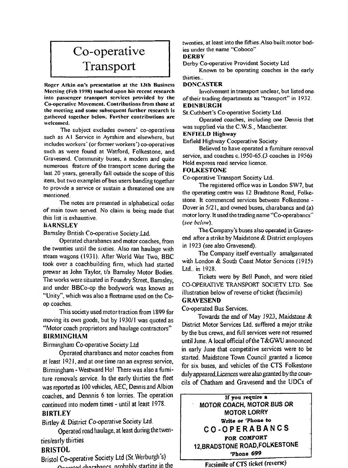# Co-operative Transport

Roger Atkin ;on's presentation at the 13th Business Meeting (Feb 1998) touched upon his recent research into passenger transport services provided by the Co-operative Movement. Contributions from those at the meeting and some subsequent further research is gathered together below. Further contributions arc welcomed.

The subject excludes owners' co-operatives such as A1 Service in Ayrshire and elsewhere, but includes workers' (or former workers') co-operatives such as were found at Watford, Folkestone, and Gravesend. Community buses, a modem and quite numerous feature of the transport scene during the last 20 years, generally fall outside the scope of this item, but two examples of bus users banding together to provide a service or sustain a threatened one are mentioned.

The notes are presented in alphabetical order of main town served. No claim is being made that this list is exhaustive.

### BARNSLEY

Barnsley British Co-operative Society Ltd.

Operated charabancs and motor coaches, from the twenties until the sixties. Also ran haulage with steam wagons (1931). After World War Two, BBC took over a coachbuilding **firm,** which had started prewar as John Taylor, t/a Barnsley Motor Bodies. The works were situated in Foundry Street, Barnsley, and under BBCo-op the bodywork was known as "Unity", which was also a fleetname used on the Coop coaches.

This society used motor traction from 1899 for moving its own goods, but by 1930/1 was quoted as "Motor coach proprietors and haulage contractors"

### **BIRMINGHAM**

### Birmingham Co-operative SocietyLtd

Operated charabancs and motor coaches from at least 1921, and at one time ran an express service, Birmingham - Westward Ho! There was also a furniture removals service. In the early thirties the fleet was reported as 100 vehicles, AEC, Dennis and Albion coaches, and Dennnis 6 ton lorries. The operation continued into modem times - until at least 1978.

### **BIRTLEY**

Birtiey *&* **District Co-operative Society Ltd.**

**Operated road haulage, at least during the twenties/early thirties**

### **BRISTOL**

**Bristol Co-operative Society Ltd (St.Werburgh s) Mior-ihanrc nmhahlv starting in the** twenties, at least into the fifties. Also built motor bodies under the name "Coboco"

### **DERBY**

Derby Co-operative Provident Society Ltd

Known to he operating coaches in the early thirties..

### DONCASTER

Involvement in transport unclear, but listed one of their trading departments as "transport" in 1932. EDINBURGH

St.Cuthbert's Co-operative Society Ltd.

Operated coaches, including one Dennis that was supplied via the C.W.S., Manchester.

### ENFIELD Highway

Enfield Highway Cooperative Society

Believed to have operated a furniture removal service, and coaches c. 1950-65.(3 coaches in 1956) Held express road service licence.

### FOLKESTONE

Co-operative Transport Society Ltd.

The registered office was in London SW7, but the operating centre was 12 Bradstone Road, Folkestone. It commenced services between Folkestone - Dover in 5/21, and owned buses, charabancs and (a) motor lorry. It used the trading name "Co-operabancs" *(see below).*

The Company's buses also operated in Gravesend after a strike by Maidstone & District employees in 1923 (see also Gravesend).

The Company itself eventually amalgamated with London & South Coast Motor Services (1915) Ltd., in 1928.

Tickets were by Bell Punch, and were titled CO-OPERATIVE TRANSPORT SOCIETY LTD. See illustration below of reverse of ticket  $($ facsimile $)$ GRAVESEND

Co-operated Bus Services.

Towards the end of May <sup>J</sup> 923, Maidstone *&.* District Motor Services Ltd. suffered a major strike by the bus crews, and full services were not resumed until June. A local official ofthe T&GWU announced in early June that competitive services were to be started. Maidstone Town Council granted a licence for six buses, and vehicles of the CTS Folkestone duly appeared Licences were also granted by the councils of Chatham and Gravesend and the UDCs of

**If you require a MOTOR COACH, MOTOR BUS OR MOTOR LORRY Write or 'Phone to CO-OPERABANCS** FOR COMFORT **12,BRADSTONE ROAD,FOLKESTONE 'Phone 699**

Facsimile of CTS ticket (reverse)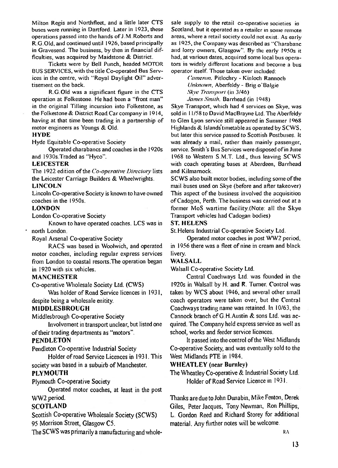Milton Regis and Northfleet, and a little later CTS sale supply to the retail co-operative societies in buses were running in Dartford. Later in 1923, these Scotland, but it operated as a retailer in some remote buses were running in Dartford. Later in 1923, these Scotland, but it operated as a retailer in some remote operations passed into the hands of J.M. Roberts and areas, where a retail society could not exist. As early R.G.Old, and continued until 1926, based principally in Gravesend. The business, by then in financial difin Gravesend. The business, by then in financial dif- and lorry owners, Glasgow". By the early 1950s it ficulties, was acquired by Maidstone & District. had, at various dates, acquired some local bus opera-

BUS SERVICES, with the title Co-operated Bus Services in die centre, widi "Royal Daylight Oil" advertisement on the back.

R.G.Old was a significant figure in die CTS operation at Folkestone. He had been a "front man" in the original Tilling incursion into Folkestone, as the Folkestone & District Road Car company in 1914, having at that time been trading in a partnership of to Glen Lyon service still appeared in Summer 1968 motor engineers as Youngs & Old.

### **HYDE**

Hyde Equitable Co-operative Society

Operated charabancs and coaches in die 1920s and 1930s.Traded as "Hyco".

### **LEICESTER**

The 1922 edition of the *Co-operative Directory* lists and Kilmarnock. the Leicester Carriage Builders & Wheelwrights.

### **LINCOLN**

Lincoln Co-operative Society is known to have owned coaches in the 1950s. Coaches in the 1950s. Coaches in the 1950s.

### **LONDON**

London Co-operative Society

Known to have operated coaches. LCS was in **\* north** London.

Royal Arsenal Co-operative Society

motor coaches, including regular express services livery, from London to coastal resorts.The operation began **WALSALL** in 1920 with six vehicles.

### **MANCHESTER**

Co-operative **Wholesale** Society Ltd. (CWS)

Was holder of Road Service licences **in** 1931, despite being a wholesale enitity.

### **MIDDLESBROUGH**

Middlesbrough Co-operative Society

oftheir trading departments as "motors". school, works and feeder service licences.

Pendleton Co-operative Industrial Society

Holder ofroad Service Licences in 1931. This society was based in a subuirb of Manchester.

### **PLYMOUTH**

Plymouth Co-operative Society

Operated motor coaches, at least in the post WW2 period.

### **SCOTLAND**

Scottish Co-operative Wholesale Society (SCWS) 95 Morrison Street, Glasgow C5.

The SCWS was primarily a manufacturing and whole-

areas, where a retail society could not exist. As early<br>as 1925, the Company was described as "Charabanc es, was acquired by Maidstone & District. had, at various dates, acquired some local bus opera-<br>Tickets were by Bell Punch, headed MOTOR tors in widely different locations and become a bus tors in widely different locations and become a bus<br>operator itself. Those taken over included:

> *Cameron,* Pitlochry - Kinloch **Rannocb** *Unknown,* Aberfeldy - Brigo'Balgie *Skye Transport* (in 3/46)

*James Smith.* Barrhead (in 1948)<br>Skye Transport, which had 4 services on Skye, was sold in 11/58 to David MacBrayne Ltd. The Aberfeldy Highlands & Islands timetable as operated by SCWS, but later this service passed to Scottish Postbuses. It was already a mail, radier **than** mainly passenger, service. Smith's Bus Services were disposed of in June 1968 to Western S.M.T. Ltd., thus leaving SCWS with coach operating bases at Aberdeen, Barrhead

SCWS also built motor bodies, including some of the mail buses used on Skye (before and after takeover)<br>This aspect of the business involved the acquisition former MoS wartime facility.(Note: all the Skye Transport vehicles had Cadogan bodies)

### **ST. HELENS**

St.Helens Industrial Co-operative Society Ltd.

Operated motor coaches **in** post WW2 period, RACS was based **in** Woolwich, and operated in 1956 there was a fleet of nine in cream and black

Walsall Co-operative Society Ltd.

Central Coachways Ltd. was founded in the 1920s in Walsall by H. and R. Turner. Control was taken by WCS about 1946, and several other small coach operators were taken over, but the Central Coachways traduig name was retained. In 10/63, the Cannock branch of G.H.Austin & sons Ltd. was ac-Involvement in transport unclear, but listed one **quired.** The Company held express service as well as

**PENDLETON It passed into the control of the West Midlands** Co-operative Society, and was eventually sold to the West Midlands PTE in 1984.

### **WHEATLEY (near Burnley)**

The Wheatley Co-operative & Industrial Society Ltd. Holder of Road Service Licence **in** 1931.

Thanks are due to John Dunabin, Mike Fenton, Derek Giles, Peter Jacques, Tony Newman, Ron Phillips, L. Gordon Reed and Richard Storey for additional material. Any further notes will be welcome.

RA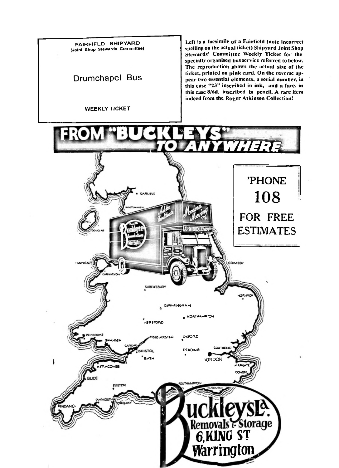

WEEKLY TICKET

Left is a facsimile of <sup>a</sup> Fairfield (note incorrect spelling on the actual ticket) Shipyard Joint Shop Stewards' Committee Weekly Ticket for the specially organised bus service referred to below. The reproduction shows the actual size of the ticket, printed on pink card. On the reverse appear two essential elements, a serial number, in this ease "23" inscribed in ink, and <sup>a</sup> fare, in this ease 8/6d, inscribed in pencil. A rare item indeed from the Roger Atkinson Collection!

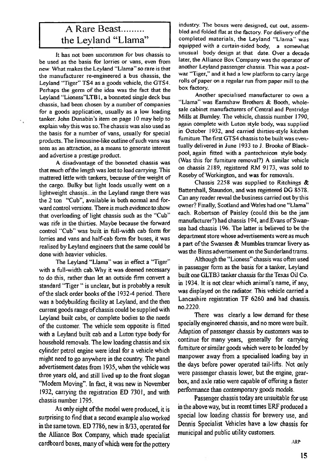## A Rare Beast......... the Leyland "Llama"

It has not been uncommon for bus chassis to be used as the basis for lorries or vans, even from new. What makes the Leyland "Llama" so rare is that the manufacturer re-engineered a bus chassis, the Leyland "Tiger" TS4 as a goods vehicle, the GTS4. Perhaps the germ of the idea was the fact that the Leyland "Lioness"LTBl, a bonneted single deck bus chassis, had been chosen by a number of companies for a goods application, usually as a low loading tanker. John Dunabin's item on page 10 may help to explain why this was so.The chassis was also used as the basis for a number of vans, usually for special products. The limousine-like outline of such vans was seen as an attraction, as a means to generate interest and advertise a prestige product.

٠.

A disadvantage of the bonneted chassis was that much of the length was lost to load carrying. This mattered little with tankers, because of the weight of the cargo. Bulky but light loads usually went on a lightweight chassis...in the Leyland range there was the 2 ton "Cub", available in both normal and forward control versions. There is much evidence to show that overloading of light chassis such as the "Cub" was rife in the thirties. Maybe because the forward control "Cub" was built in full-width cab form for lorries and vans and half-cab form for buses, it was realised by Leyland engineers that the same could be done with heavier vehicles.

The Leyland "Llama" was in effect a "Tiger" with a full-width cab. Why it was deemed necessary to do this, rather than let an outside firm convert a standard "Tiger " is unclear, but is probably a result of the slack order books of the 1932-4 period. There was a bodybuilding facility at Leyland, and the then current goods range of chassis could be supplied with Leyland built cabs, or complete bodies to the needs of the customer. The vehicle seen opposite is fitted with a Leyland built cab and a Luton type body for household removals. The low loading chassis and six cylinder petrol engine were ideal for a vehicle which might need to go anywhere in the country. The panel advertisement dates from 1935, when the vehicle was three years old, and still lived up to the front slogan "Modem Moving". In fact, it was new in November 1932, carrying the registration ED 7301, and with chassis number 1795.

As only eight of the model were produced, it is surprising to find that a second example also worked in the same town. ED 7786, new in 8/33, operated for the Alliance Box Company, which made specialist cardboard boxes, many of which were for the pottery industry. The boxes were designed, cut out, assembled and folded flat at the factory. For delivery of the completed materials, the Leyland "Llama" equipped with a curtain-sided body, a somewhat unusual body design at that date. Over a decade later, the Alliance Box Company was the operator of another Leyland passenger chassis. This was a postwar "Tiger," and it had a low platform to carry large rolls of paper on a regular run from paper mill to the box factory.

Another specialised manufacturer to own a "Llama" was Eamshaw Brothers & Booth, wholesale cabinet manufacturers of Central and Pentridge Mills at Burnley. The vehicle, chassis number 1790, again complete with Luton style body, was supplied in October 1932, and carried thirties-style kitchen furniture. The first GTS4 chassis to be built was eventually delivered in June 1933 to J. Brooke of Blackpool, again fitted with a pantechnicon style body. (Was this for furniture removal?) A similar vehicle on chassis 2189, registered RM 9173, was sold to Roseby of Workington, and was for removals.

Chassis 2258 was supplied to Ritchings  $\&$ Battershall, Staundon, and was registered DG 8578. Can any reader reveal the business carried out by this owner? Finally, Scotland and Wales had one "Llama" each. Robertson of Paisley (could this be the jam manufacturer?) had chassis 194, and £vans ofSwansea had chassis 196. The latter is believed to be the department store whose advertisements were as much a part of the Swansea & Mumbles tramcar livery aswas the Binns advertisement on the Sunderland trams.

Although the "Lioness" chassis was often used in passenger form as the basis for a tanker, Leyland built one GLTB3 tanker chassis for the Texas Oil Co. in 1934. It is not clear which animal's name, if any, was displayed on the radiator. This vehicle carried a Lancashire registration TF 6260 and had chassis. no.2220.

There was clearly a low demand for these specially engineered chassis, and no more were built. Adaption of passenger chassis by customers was to . continue for many years, generally for carrying furniture or similar goods which were to be loaded by manpower away from a specialised loading bay in the days before power operated tail-lifts. Not only were passenger chassis lower, but the engine, gearbox, and axle ratio were capable of offering a faster performance than contemporary goods models.

Passenger chassis today are unsuitable for use in the above way, but in recent times ERF produced a special low loading chassis for brewery use, and Dennis Specialist Vehicles have a low chassis for municipal and public utility customers.

ARP